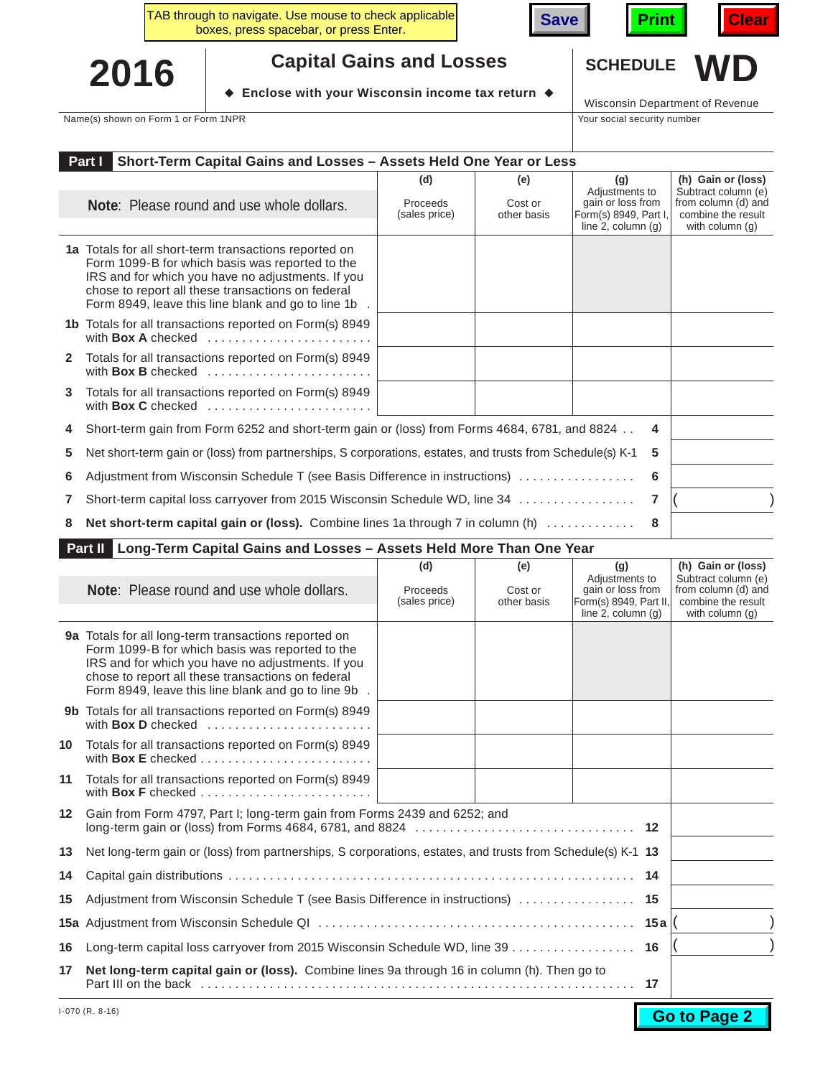





## **2016**  $\bullet$  **Substable Schip views with vour Wisconsin income tax return**  $\bullet$  **SCHEDULE** WD

♦ Enclose with your Wisconsin income tax return ♦

Wisconsin Department of Revenue

Name(s) shown on Form 1 or Form 1NPR Your social security number

|              | Short-Term Capital Gains and Losses - Assets Held One Year or Less<br>Part I                                                                                                                                                                                                     |                                  |                               |                                                                                             |                                                                                                           |
|--------------|----------------------------------------------------------------------------------------------------------------------------------------------------------------------------------------------------------------------------------------------------------------------------------|----------------------------------|-------------------------------|---------------------------------------------------------------------------------------------|-----------------------------------------------------------------------------------------------------------|
|              | <b>Note:</b> Please round and use whole dollars.                                                                                                                                                                                                                                 | (d)<br>Proceeds<br>(sales price) | (e)<br>Cost or<br>other basis | (g)<br>Adjustments to<br>gain or loss from<br>Form(s) 8949, Part I,<br>line 2, column $(q)$ | (h) Gain or (loss)<br>Subtract column (e)<br>from column (d) and<br>combine the result<br>with column (q) |
|              | <b>1a</b> Totals for all short-term transactions reported on<br>Form 1099-B for which basis was reported to the<br>IRS and for which you have no adjustments. If you<br>chose to report all these transactions on federal<br>Form 8949, leave this line blank and go to line 1b. |                                  |                               |                                                                                             |                                                                                                           |
|              | 1b Totals for all transactions reported on Form(s) 8949<br>with <b>Box A</b> checked $\ldots, \ldots, \ldots, \ldots, \ldots, \ldots$                                                                                                                                            |                                  |                               |                                                                                             |                                                                                                           |
| $\mathbf{2}$ | Totals for all transactions reported on Form(s) 8949<br>with Box B checked                                                                                                                                                                                                       |                                  |                               |                                                                                             |                                                                                                           |
| 3            | Totals for all transactions reported on Form(s) 8949<br>with Box C checked                                                                                                                                                                                                       |                                  |                               |                                                                                             |                                                                                                           |
| 4            | Short-term gain from Form 6252 and short-term gain or (loss) from Forms 4684, 6781, and 8824                                                                                                                                                                                     |                                  |                               | 4                                                                                           |                                                                                                           |
| 5.           | Net short-term gain or (loss) from partnerships, S corporations, estates, and trusts from Schedule(s) K-1                                                                                                                                                                        |                                  |                               | 5                                                                                           |                                                                                                           |
| 6            | Adjustment from Wisconsin Schedule T (see Basis Difference in instructions)                                                                                                                                                                                                      |                                  |                               | 6                                                                                           |                                                                                                           |
| 7            | Short-term capital loss carryover from 2015 Wisconsin Schedule WD, line 34                                                                                                                                                                                                       |                                  |                               | $\overline{7}$                                                                              |                                                                                                           |
| 8            | <b>Net short-term capital gain or (loss).</b> Combine lines 1a through 7 in column (h)                                                                                                                                                                                           |                                  |                               | 8                                                                                           |                                                                                                           |

## **Part II Long-Term Capital Gains and Losses – Assets Held More Than One Year**

|                 |                                                                                                                                                                                                                                                                          | (d)                       | (e)                    | (g)                                                                                      |     | (h) Gain or (loss)                                                                  |
|-----------------|--------------------------------------------------------------------------------------------------------------------------------------------------------------------------------------------------------------------------------------------------------------------------|---------------------------|------------------------|------------------------------------------------------------------------------------------|-----|-------------------------------------------------------------------------------------|
|                 | <b>Note:</b> Please round and use whole dollars.                                                                                                                                                                                                                         | Proceeds<br>(sales price) | Cost or<br>other basis | Adjustments to<br>gain or loss from<br>Form(s) 8949, Part II,<br>line $2$ , column $(q)$ |     | Subtract column (e)<br>from column (d) and<br>combine the result<br>with column (q) |
|                 | 9a Totals for all long-term transactions reported on<br>Form 1099-B for which basis was reported to the<br>IRS and for which you have no adjustments. If you<br>chose to report all these transactions on federal<br>Form 8949, leave this line blank and go to line 9b. |                           |                        |                                                                                          |     |                                                                                     |
|                 | 9b Totals for all transactions reported on Form(s) 8949<br>with Box D checked                                                                                                                                                                                            |                           |                        |                                                                                          |     |                                                                                     |
| 10              | Totals for all transactions reported on Form(s) 8949                                                                                                                                                                                                                     |                           |                        |                                                                                          |     |                                                                                     |
| 11              | Totals for all transactions reported on Form(s) 8949<br>with <b>Box F</b> checked $\ldots$ , $\ldots$ , $\ldots$ , $\ldots$ , $\ldots$ , $\ldots$                                                                                                                        |                           |                        |                                                                                          |     |                                                                                     |
| 12 <sup>°</sup> | Gain from Form 4797, Part I; long-term gain from Forms 2439 and 6252; and                                                                                                                                                                                                |                           |                        |                                                                                          |     |                                                                                     |
| 13              | Net long-term gain or (loss) from partnerships, S corporations, estates, and trusts from Schedule(s) K-1 13                                                                                                                                                              |                           |                        |                                                                                          |     |                                                                                     |
| 14              |                                                                                                                                                                                                                                                                          |                           |                        |                                                                                          | 14  |                                                                                     |
| 15              | Adjustment from Wisconsin Schedule T (see Basis Difference in instructions)  15                                                                                                                                                                                          |                           |                        |                                                                                          |     |                                                                                     |
|                 |                                                                                                                                                                                                                                                                          |                           |                        |                                                                                          | 15a |                                                                                     |
| 16              | Long-term capital loss carryover from 2015 Wisconsin Schedule WD, line 39 16                                                                                                                                                                                             |                           |                        |                                                                                          |     |                                                                                     |
| 17              | Net long-term capital gain or (loss). Combine lines 9a through 16 in column (h). Then go to                                                                                                                                                                              |                           |                        |                                                                                          | 17  |                                                                                     |

**Go to Page 2**